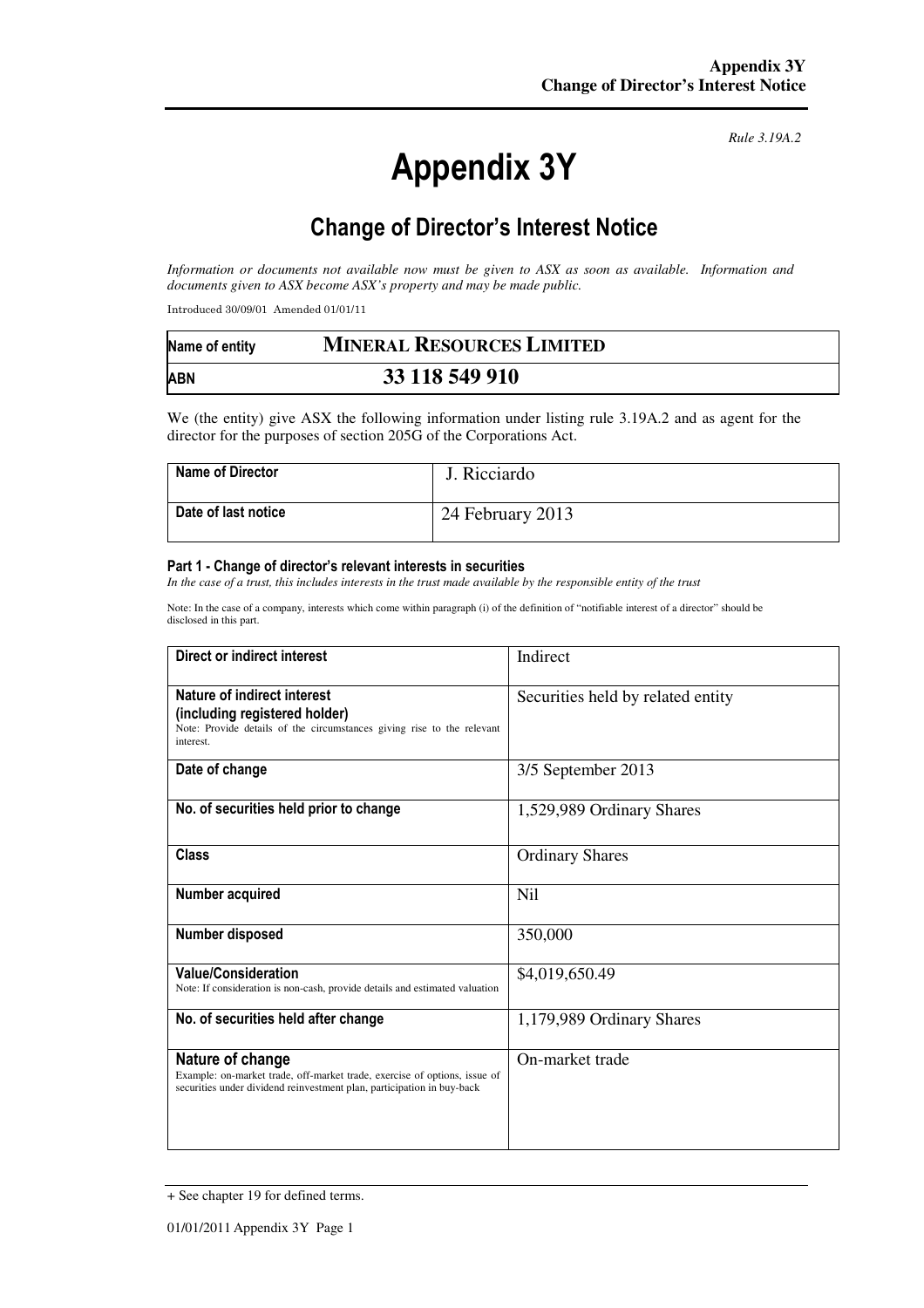# Appendix 3Y

*Rule 3.19A.2*

# Change of Director's Interest Notice

*Information or documents not available now must be given to ASX as soon as available. Information and documents given to ASX become ASX's property and may be made public.* 

Introduced 30/09/01 Amended 01/01/11

| Name of entity | <b>MINERAL RESOURCES LIMITED</b> |  |
|----------------|----------------------------------|--|
| <b>ABN</b>     | 33 118 549 910                   |  |

We (the entity) give ASX the following information under listing rule 3.19A.2 and as agent for the director for the purposes of section 205G of the Corporations Act.

| <b>Name of Director</b> | J. Ricciardo     |
|-------------------------|------------------|
| Date of last notice     | 24 February 2013 |

#### Part 1 - Change of director's relevant interests in securities

*In the case of a trust, this includes interests in the trust made available by the responsible entity of the trust* 

Note: In the case of a company, interests which come within paragraph (i) of the definition of "notifiable interest of a director" should be disclosed in this part.

| Direct or indirect interest                                                                                                                                             | Indirect                          |
|-------------------------------------------------------------------------------------------------------------------------------------------------------------------------|-----------------------------------|
| Nature of indirect interest<br>(including registered holder)<br>Note: Provide details of the circumstances giving rise to the relevant<br>interest.                     | Securities held by related entity |
| Date of change                                                                                                                                                          | 3/5 September 2013                |
| No. of securities held prior to change                                                                                                                                  | 1,529,989 Ordinary Shares         |
| <b>Class</b>                                                                                                                                                            | <b>Ordinary Shares</b>            |
| Number acquired                                                                                                                                                         | Nil                               |
| Number disposed                                                                                                                                                         | 350,000                           |
| <b>Value/Consideration</b><br>Note: If consideration is non-cash, provide details and estimated valuation                                                               | \$4,019,650.49                    |
| No. of securities held after change                                                                                                                                     | 1,179,989 Ordinary Shares         |
| Nature of change<br>Example: on-market trade, off-market trade, exercise of options, issue of<br>securities under dividend reinvestment plan, participation in buy-back | On-market trade                   |

<sup>+</sup> See chapter 19 for defined terms.